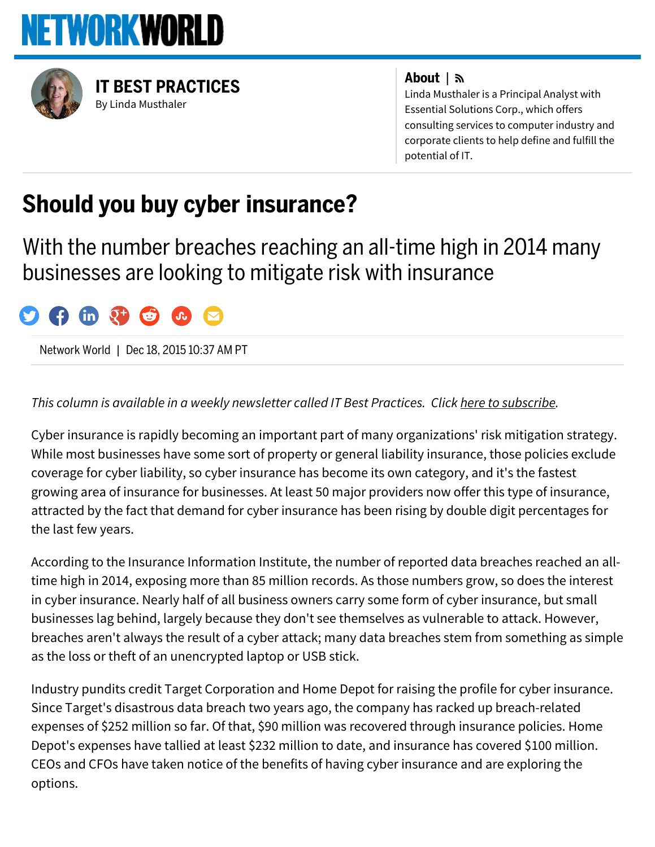



By Linda [Musthaler](http://www.networkworld.com/author/Linda-Musthaler/) IT BEST [PRACTICES](http://www.networkworld.com/blog/it-best-practices/)

#### About |

Linda Musthaler is a Principal Analyst with Essential Solutions Corp., which offers consulting services to computer industry and corporate clients to help define and fulfill the potential of IT.

# Should you buy cyber insurance?

With the number breaches reaching an all-time high in 2014 many businesses are looking to mitigate risk with insurance



Network World | Dec 18, 2015 10:37 AM PT

#### *This column is available in a weekly newsletter called IT Best Practices. Click here to [subscribe.](http://www.networkworld.com/newsletters/signup.html)*

Cyber insurance is rapidly becoming an important part of many organizations' risk mitigation strategy. While most businesses have some sort of property or general liability insurance, those policies exclude coverage for cyber liability, so cyber insurance has become its own category, and it's the fastest growing area of insurance for businesses. At least 50 major providers now offer this type of insurance, attracted by the fact that demand for cyber insurance has been rising by double digit percentages for the last few years.

According to the Insurance Information Institute, the number of reported data breaches reached an alltime high in 2014, exposing more than 85 million records. As those numbers grow, so does the interest in cyber insurance. Nearly half of all business owners carry some form of cyber insurance, but small businesses lag behind, largely because they don't see themselves as vulnerable to attack. However, breaches aren't always the result of a cyber attack; many data breaches stem from something as simple as the loss or theft of an unencrypted laptop or USB stick.

Industry pundits credit Target Corporation and Home Depot for raising the profile for cyber insurance. Since Target's disastrous data breach two years ago, the company has racked up breach-related expenses of \$252 million so far. Of that, \$90 million was recovered through insurance policies. Home Depot's expenses have tallied at least \$232 million to date, and insurance has covered \$100 million. CEOs and CFOs have taken notice of the benefits of having cyber insurance and are exploring the options.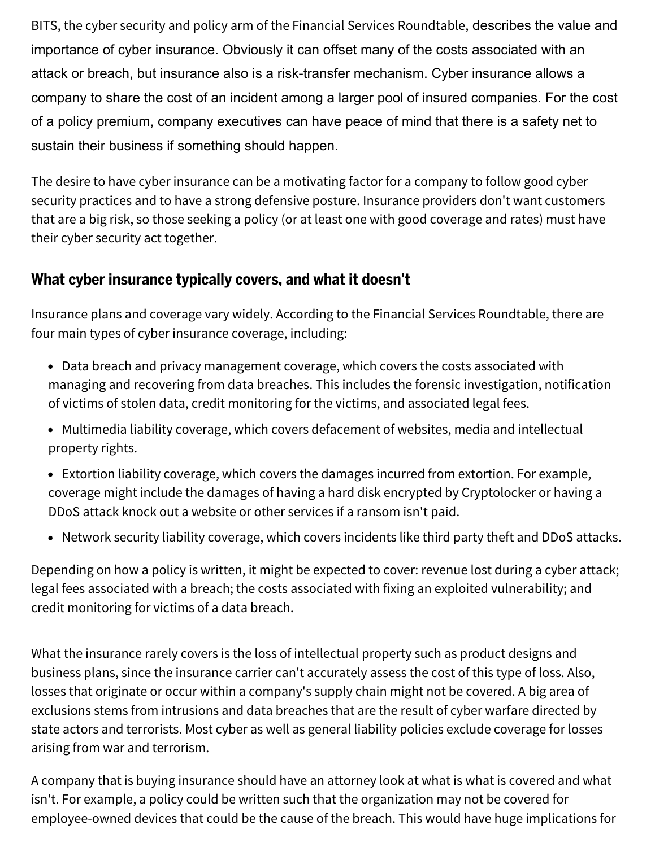BITS, the cyber security and policy arm of the Financial Services Roundtable, describes the value and importance of cyber insurance. Obviously it can offset many of the costs associated with an attack or breach, but insurance also is a risk-transfer mechanism. Cyber insurance allows a company to share the cost of an incident among a larger pool of insured companies. For the cost of a policy premium, company executives can have peace of mind that there is a safety net to sustain their business if something should happen.

The desire to have cyber insurance can be a motivating factor for a company to follow good cyber security practices and to have a strong defensive posture. Insurance providers don't want customers that are a big risk, so those seeking a policy (or at least one with good coverage and rates) must have their cyber security act together.

## What cyber insurance typically covers, and what it doesn't

Insurance plans and coverage vary widely. According to the Financial Services Roundtable, there are four main types of cyber insurance coverage, including:

- Data breach and privacy management coverage, which covers the costs associated with managing and recovering from data breaches. This includes the forensic investigation, notification of victims of stolen data, credit monitoring for the victims, and associated legal fees.
- Multimedia liability coverage, which covers defacement of websites, media and intellectual property rights.
- Extortion liability coverage, which covers the damages incurred from extortion. For example, coverage might include the damages of having a hard disk encrypted by Cryptolocker or having a DDoS attack knock out a website or other services if a ransom isn't paid.
- Network security liability coverage, which covers incidents like third party theft and DDoS attacks.

Depending on how a policy is written, it might be expected to cover: revenue lost during a cyber attack; legal fees associated with a breach; the costs associated with fixing an exploited vulnerability; and credit monitoring for victims of a data breach.

What the insurance rarely covers is the loss of intellectual property such as product designs and business plans, since the insurance carrier can't accurately assess the cost of this type of loss. Also, losses that originate or occur within a company's supply chain might not be covered. A big area of exclusions stems from intrusions and data breaches that are the result of cyber warfare directed by state actors and terrorists. Most cyber as well as general liability policies exclude coverage for losses arising from war and terrorism.

A company that is buying insurance should have an attorney look at what is what is covered and what isn't. For example, a policy could be written such that the organization may not be covered for employee-owned devices that could be the cause of the breach. This would have huge implications for